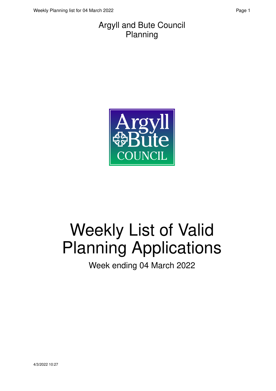#### Argyll and Bute Council Planning



# Weekly List of Valid Planning Applications

Week ending 04 March 2022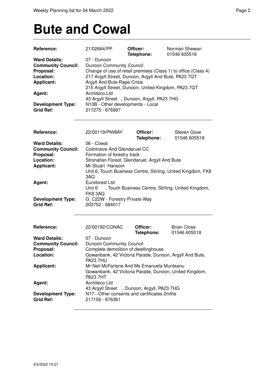#### **Bute and Cowal**

| Reference:                                   | 21/02664/PP                                                    | Officer:<br>Telephone: | Norman Shewan<br>01546 605518                                  |
|----------------------------------------------|----------------------------------------------------------------|------------------------|----------------------------------------------------------------|
| <b>Ward Details:</b>                         | 07 - Dunoon                                                    |                        |                                                                |
|                                              |                                                                |                        |                                                                |
| <b>Community Council:</b>                    | <b>Dunoon Community Council</b>                                |                        |                                                                |
| Proposal:                                    |                                                                |                        | Change of use of retail premises (Class 1) to office (Class 4) |
| Location:                                    | 217 Argyll Street, Dunoon, Argyll And Bute, PA23 7QT           |                        |                                                                |
| <b>Applicant:</b>                            | Argyll And Bute Rape Crisis                                    |                        |                                                                |
|                                              | 215 Argyll Street, Dunoon, United Kingdom, PA23 7QT            |                        |                                                                |
| Agent:                                       | Architeco Ltd                                                  |                        |                                                                |
|                                              | 43 Argyll Street, Dunoon, Argyll, PA23 7HG                     |                        |                                                                |
| <b>Development Type:</b>                     | N10B - Other developments - Local                              |                        |                                                                |
| <b>Grid Ref:</b>                             | 217275 - 676987                                                |                        |                                                                |
|                                              |                                                                |                        |                                                                |
| Reference:                                   | 22/00119/PNWAY                                                 | Officer:<br>Telephone: | Steven Gove<br>01546 605518                                    |
| <b>Ward Details:</b>                         | 06 - Cowal                                                     |                        |                                                                |
| <b>Community Council:</b>                    | <b>Colintraive And Glendaruel CC</b>                           |                        |                                                                |
| Proposal:                                    | Formation of forestry track                                    |                        |                                                                |
| Location:                                    | Stronafian Forest, Glendaruel, Argyll And Bute                 |                        |                                                                |
| <b>Applicant:</b>                            | Mr Stuart Hansom                                               |                        |                                                                |
|                                              |                                                                |                        | Unit 6, Touch Business Centre, Stirling, United Kingdom, FK8   |
|                                              | 3AQ                                                            |                        |                                                                |
| Agent:                                       | <b>Euroforest Ltd</b>                                          |                        |                                                                |
|                                              |                                                                |                        | Unit 6 , Touch Business Centre, Stirling, United Kingdom,      |
|                                              | <b>FK8 3AQ</b>                                                 |                        |                                                                |
| <b>Development Type:</b>                     |                                                                |                        |                                                                |
| <b>Grid Ref:</b>                             | G_C22W - Forestry Private Way<br>200752 - 684017               |                        |                                                                |
|                                              |                                                                |                        |                                                                |
| Reference:                                   | 22/00192/CONAC                                                 | Officer:               | <b>Brian Close</b>                                             |
|                                              |                                                                | Telephone:             | 01546 605518                                                   |
| <b>Ward Details:</b>                         | 07 - Dunoon                                                    |                        |                                                                |
| <b>Community Council:</b>                    | Dunoon Community Council                                       |                        |                                                                |
| Proposal:                                    | Complete demolition of dwellinghouse                           |                        |                                                                |
| Location:                                    | <b>PA23 7HU</b>                                                |                        | Gowanbank, 42 Victoria Parade, Dunoon, Argyll And Bute,        |
| <b>Applicant:</b>                            | Mr Neil McFarlane And Ms Emanuela Munteanu<br><b>PA23 7HT</b>  |                        | Gowanbank, 42 Victoria Parade, Dunoon, United Kingdom,         |
| Agent:                                       | Architeco Ltd                                                  |                        |                                                                |
|                                              | 43 Argyll Street, Dunoon, Argyll, PA23 7HG                     |                        |                                                                |
| <b>Development Type:</b><br><b>Grid Ref:</b> | N17 - Other consents and certificates 2mths<br>217156 - 676361 |                        |                                                                |
|                                              |                                                                |                        |                                                                |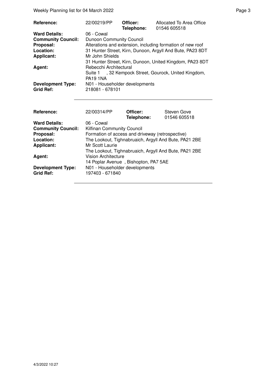Weekly Planning list for 04 March 2022 **Page 3** Page 3

| <b>Reference:</b>         | 22/00219/PP                     | Officer:<br>Telephone: | Allocated To Area Office<br>01546 605518                   |
|---------------------------|---------------------------------|------------------------|------------------------------------------------------------|
| <b>Ward Details:</b>      | 06 - Cowal                      |                        |                                                            |
| <b>Community Council:</b> | <b>Dunoon Community Council</b> |                        |                                                            |
| Proposal:                 |                                 |                        | Alterations and extension, including formation of new roof |
| Location:                 |                                 |                        | 31 Hunter Street, Kirn, Dunoon, Argyll And Bute, PA23 8DT  |
| <b>Applicant:</b>         | Mr John Shields                 |                        |                                                            |
|                           |                                 |                        | 31 Hunter Street, Kirn, Dunoon, United Kingdom, PA23 8DT   |
| Agent:                    | Rebecchi Architectural          |                        |                                                            |
|                           |                                 |                        | Suite 1, 32 Kempock Street, Gourock, United Kingdom,       |
|                           | <b>PA19 1NA</b>                 |                        |                                                            |
| <b>Development Type:</b>  | N01 - Householder developments  |                        |                                                            |
| <b>Grid Ref:</b>          | 218081 - 678101                 |                        |                                                            |

| Reference:                | 22/00314/PP                                           | Officer:<br>Telephone: | Steven Gove<br>01546 605518 |
|---------------------------|-------------------------------------------------------|------------------------|-----------------------------|
| <b>Ward Details:</b>      | 06 - Cowal                                            |                        |                             |
| <b>Community Council:</b> | Kilfinan Community Council                            |                        |                             |
| Proposal:                 | Formation of access and driveway (retrospective)      |                        |                             |
| Location:                 | The Lookout, Tighnabruaich, Argyll And Bute, PA21 2BE |                        |                             |
| <b>Applicant:</b>         | Mr Scott Laurie                                       |                        |                             |
|                           | The Lookout, Tighnabruaich, Argyll And Bute, PA21 2BE |                        |                             |
| Agent:                    | Vision Architecture                                   |                        |                             |
|                           | 14 Poplar Avenue, Bishopton, PA7 5AE                  |                        |                             |
| <b>Development Type:</b>  | N01 - Householder developments                        |                        |                             |
| <b>Grid Ref:</b>          | 197403 - 671840                                       |                        |                             |
|                           |                                                       |                        |                             |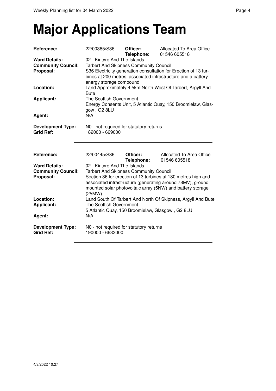#### **Major Applications Team**

| Reference:                                                                  | 22/00385/S36                                                                                                                                                                                                                                                                                                                                         | Officer:<br>Telephone: | Allocated To Area Office<br>01546 605518 |  |
|-----------------------------------------------------------------------------|------------------------------------------------------------------------------------------------------------------------------------------------------------------------------------------------------------------------------------------------------------------------------------------------------------------------------------------------------|------------------------|------------------------------------------|--|
| <b>Ward Details:</b><br><b>Community Council:</b><br>Proposal:<br>Location: | 02 - Kintyre And The Islands<br><b>Tarbert And Skipness Community Council</b><br>S36 Electricity generation consultation for Erection of 13 tur-<br>bines at 200 metres, associated infrastructure and a battery<br>energy storage compound<br>Land Approximately 4.5km North West Of Tarbert, Argyll And                                            |                        |                                          |  |
|                                                                             | <b>Bute</b>                                                                                                                                                                                                                                                                                                                                          |                        |                                          |  |
| <b>Applicant:</b>                                                           | The Scottish Government<br>Energy Consents Unit, 5 Atlantic Quay, 150 Broomielaw, Glas-<br>gow, G2 8LU                                                                                                                                                                                                                                               |                        |                                          |  |
| Agent:                                                                      | N/A                                                                                                                                                                                                                                                                                                                                                  |                        |                                          |  |
| <b>Development Type:</b><br><b>Grid Ref:</b>                                | N0 - not required for statutory returns<br>182000 - 669000                                                                                                                                                                                                                                                                                           |                        |                                          |  |
|                                                                             |                                                                                                                                                                                                                                                                                                                                                      |                        |                                          |  |
| Reference:                                                                  | 22/00445/S36                                                                                                                                                                                                                                                                                                                                         | Officer:<br>Telephone: | Allocated To Area Office<br>01546 605518 |  |
| <b>Ward Details:</b><br><b>Community Council:</b><br>Proposal:<br>Location: | 02 - Kintyre And The Islands<br><b>Tarbert And Skipness Community Council</b><br>Section 36 for erection of 13 turbines at 180 metres high and<br>associated infrastructure (generating around 78MV), ground<br>mounted solar photovoltaic array (5NW) and battery storage<br>(25MW)<br>Land South Of Tarbert And North Of Skipness, Argyll And Bute |                        |                                          |  |
| Applicant:<br>Agent:                                                        | The Scottish Government<br>5 Atlantic Quay, 150 Broomielaw, Glasgow, G2 8LU<br>N/A                                                                                                                                                                                                                                                                   |                        |                                          |  |
| <b>Development Type:</b><br><b>Grid Ref:</b>                                | N0 - not required for statutory returns<br>190000 - 6633000                                                                                                                                                                                                                                                                                          |                        |                                          |  |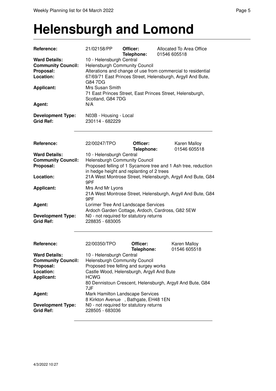#### **Helensburgh and Lomond**

| <b>Reference:</b>                                                                                | 21/02158/PP                                                                                                                                                                                                                                                                                              | Officer:<br>Telephone: | Allocated To Area Office<br>01546 605518                    |  |
|--------------------------------------------------------------------------------------------------|----------------------------------------------------------------------------------------------------------------------------------------------------------------------------------------------------------------------------------------------------------------------------------------------------------|------------------------|-------------------------------------------------------------|--|
| <b>Ward Details:</b><br><b>Community Council:</b><br>Proposal:<br>Location:<br><b>Applicant:</b> | 10 - Helensburgh Central<br>Helensburgh Community Council<br>Alterations and change of use from commercial to residential<br>67/69/71 East Princes Street, Helensburgh, Argyll And Bute,<br>G84 7DG<br>Mrs Susan Smith<br>71 East Princes Street, East Princes Street, Helensburgh,<br>Scotland, G84 7DG |                        |                                                             |  |
| Agent:                                                                                           | N/A                                                                                                                                                                                                                                                                                                      |                        |                                                             |  |
| <b>Development Type:</b><br><b>Grid Ref:</b>                                                     | N03B - Housing - Local<br>230114 - 682229                                                                                                                                                                                                                                                                |                        |                                                             |  |
| Reference:                                                                                       | 22/00247/TPO                                                                                                                                                                                                                                                                                             | Officer:<br>Telephone: | Karen Malloy<br>01546 605518                                |  |
| <b>Ward Details:</b><br><b>Community Council:</b><br>Proposal:                                   | 10 - Helensburgh Central<br><b>Helensburgh Community Council</b><br>Proposed felling of 1 Sycamore tree and 1 Ash tree, reduction<br>in hedge height and replanting of 2 trees                                                                                                                           |                        |                                                             |  |
| Location:                                                                                        | 9PF                                                                                                                                                                                                                                                                                                      |                        | 21A West Montrose Street, Helensburgh, Argyll And Bute, G84 |  |
| <b>Applicant:</b>                                                                                | Mrs And Mr Lyons<br>9PF                                                                                                                                                                                                                                                                                  |                        | 21A West Montrose Street, Helensburgh, Argyll And Bute, G84 |  |
| Agent:<br><b>Development Type:</b><br><b>Grid Ref:</b>                                           | Lorimer Tree And Landscape Services<br>N0 - not required for statutory returns<br>228835 - 683005                                                                                                                                                                                                        |                        | Ardoch Garden Cottage, Ardoch, Cardross, G82 5EW            |  |
| <b>Reference:</b>                                                                                | 22/00350/TPO                                                                                                                                                                                                                                                                                             | Officer:<br>Telephone: | Karen Malloy<br>01546 605518                                |  |
| <b>Ward Details:</b><br><b>Community Council:</b><br>Proposal:<br>Location:<br><b>Applicant:</b> | 10 - Helensburgh Central<br><b>Helensburgh Community Council</b><br>Proposed tree felling and surgey works<br>Castle Wood, Helensburgh, Argyll And Bute<br><b>HCWG</b><br>80 Dennistoun Crescent, Helensburgh, Argyll And Bute, G84<br>7JF                                                               |                        |                                                             |  |
| Agent:                                                                                           | Mark Hamilton Landscape Services<br>8 Kirkton Avenue, Bathgate, EH48 1EN                                                                                                                                                                                                                                 |                        |                                                             |  |
| <b>Development Type:</b><br><b>Grid Ref:</b>                                                     | N0 - not required for statutory returns<br>228505 - 683036                                                                                                                                                                                                                                               |                        |                                                             |  |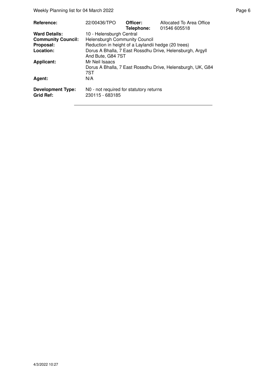Weekly Planning list for 04 March 2022 **Page 6** Page 6

| <b>Reference:</b>                            | 22/00436/TPO                                               | Officer:<br>Telephone: | Allocated To Area Office<br>01546 605518                   |
|----------------------------------------------|------------------------------------------------------------|------------------------|------------------------------------------------------------|
| <b>Ward Details:</b>                         | 10 - Helensburgh Central                                   |                        |                                                            |
| <b>Community Council:</b>                    | <b>Helensburgh Community Council</b>                       |                        |                                                            |
| Proposal:                                    | Reduction in height of a Laylandii hedge (20 trees)        |                        |                                                            |
| Location:                                    | And Bute, G84 7ST                                          |                        | Dorus A Bhalla, 7 East Rossdhu Drive, Helensburgh, Argyll  |
| <b>Applicant:</b>                            | Mr Neil Isaacs                                             |                        |                                                            |
|                                              | 7ST                                                        |                        | Dorus A Bhalla, 7 East Rossdhu Drive, Helensburgh, UK, G84 |
| Agent:                                       | N/A                                                        |                        |                                                            |
| <b>Development Type:</b><br><b>Grid Ref:</b> | N0 - not required for statutory returns<br>230115 - 683185 |                        |                                                            |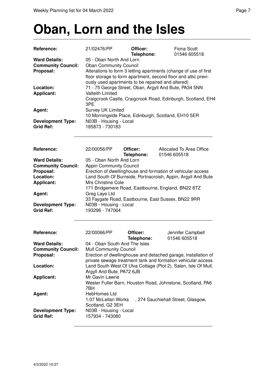## **Oban, Lorn and the Isles**

| Reference:                                                     | 21/02476/PP                                                                                                                                                                                            | Officer:<br>Telephone: | <b>Fiona Scott</b><br>01546 605518                             |  |
|----------------------------------------------------------------|--------------------------------------------------------------------------------------------------------------------------------------------------------------------------------------------------------|------------------------|----------------------------------------------------------------|--|
| <b>Ward Details:</b><br><b>Community Council:</b><br>Proposal: | 05 - Oban North And Lorn<br><b>Oban Community Council</b><br>Alterations to form 3 letting apartments (change of use of first<br>floor storage to form apartment, second floor and attic previ-        |                        |                                                                |  |
| Location:<br><b>Applicant:</b>                                 | ously used apartments to be repaired and altered)<br>71 - 75 George Street, Oban, Argyll And Bute, PA34 5NN<br><b>Valteith Limited</b><br>Craigcrook Castle, Craigcrook Road, Edinburgh, Scotland, EH4 |                        |                                                                |  |
| Agent:<br><b>Development Type:</b>                             | 3PE<br><b>Survey UK Limited</b><br>N03B - Housing - Local                                                                                                                                              |                        | 10 Morningside Place, Edinburgh, Scotland, EH10 5ER            |  |
| <b>Grid Ref:</b>                                               | 185873 - 730183                                                                                                                                                                                        |                        |                                                                |  |
| Reference:                                                     | 22/00056/PP                                                                                                                                                                                            | Officer:<br>Telephone: | Allocated To Area Office<br>01546 605518                       |  |
| <b>Ward Details:</b>                                           | 05 - Oban North And Lorn                                                                                                                                                                               |                        |                                                                |  |
| <b>Community Council:</b><br>Proposal:                         | <b>Appin Community Council</b>                                                                                                                                                                         |                        | Erection of dwellinghouse and formation of vehicular access    |  |
| Location:                                                      |                                                                                                                                                                                                        |                        | Land South Of Burnside, Portnacroish, Appin, Argyll And Bute   |  |
| <b>Applicant:</b>                                              | Mrs Christine Cole                                                                                                                                                                                     |                        |                                                                |  |
| Agent:                                                         | 171 Bridgemere Road, Eastbourne, England, BN22 8TZ<br>Greg Laye Ltd<br>33 Faygate Road, Eastbourne, East Sussex, BN22 9RR                                                                              |                        |                                                                |  |
| <b>Development Type:</b><br><b>Grid Ref:</b>                   | N03B - Housing - Local<br>193296 - 747064                                                                                                                                                              |                        |                                                                |  |
| Reference:                                                     | 22/00066/PP                                                                                                                                                                                            | Officer:               | Jennifer Campbell<br>01546 605518                              |  |
| <b>Ward Details:</b>                                           | 04 - Oban South And The Isles                                                                                                                                                                          | Telephone:             |                                                                |  |
| <b>Community Council:</b>                                      | <b>Mull Community Council</b>                                                                                                                                                                          |                        |                                                                |  |
| Proposal:                                                      |                                                                                                                                                                                                        |                        | Erection of dwellinghouse and detached garage, installation of |  |
| Location:                                                      |                                                                                                                                                                                                        |                        | private sewage treatment tank and formation vehicular access   |  |
|                                                                | Land South West Of Ulva Cottage (Plot 2), Salen, Isle Of Mull,<br>Argyll And Bute, PA72 6JB                                                                                                            |                        |                                                                |  |
| <b>Applicant:</b>                                              | Mr Gavin Lawrie<br>Wester Fuller Barn, Houston Road, Johnstone, Scotland, PA6                                                                                                                          |                        |                                                                |  |
| Agent:                                                         | 7BH<br>HebHomes Ltd<br>1.07 McLellan Works<br>, 274 Sauchiehall Street, Glasgow,<br>Scotland, G2 3EH                                                                                                   |                        |                                                                |  |
| <b>Development Type:</b><br><b>Grid Ref:</b>                   | N03B - Housing - Local<br>157934 - 743080                                                                                                                                                              |                        |                                                                |  |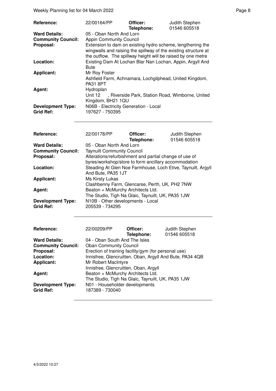| Reference:                                        | 22/00164/PP                                                                                                                     | Officer:<br>Telephone: | Judith Stephen<br>01546 605518                             |
|---------------------------------------------------|---------------------------------------------------------------------------------------------------------------------------------|------------------------|------------------------------------------------------------|
| <b>Ward Details:</b><br><b>Community Council:</b> | 05 - Oban North And Lorn<br><b>Appin Community Council</b>                                                                      |                        |                                                            |
| Proposal:                                         | wingwalls and raising the spillway of the existing structure at<br>the outflow. The spillway height will be raised by one metre |                        | Extension to dam on existing hydro scheme, lengthening the |
| Location:                                         | Bute                                                                                                                            |                        | Existing Dam At Lochan Blar Nan Lochan, Appin, Argyll And  |
| <b>Applicant:</b>                                 | Mr Roy Foster<br>Ashfield Farm, Achnamara, Lochgilphead, United Kingdom,<br><b>PA31 8PT</b>                                     |                        |                                                            |
| Agent:                                            | Hydroplan<br>Unit 12<br>Kingdom, BH21 1QU                                                                                       |                        | , Riverside Park, Station Road, Wimborne, United           |
| <b>Development Type:</b><br><b>Grid Ref:</b>      | N06B - Electricity Generation - Local<br>197627 - 750395                                                                        |                        |                                                            |

| Reference:                | 22/00178/PP                                                                                                    | Officer:<br>Telephone: | Judith Stephen<br>01546 605518                                                                                                                                                                                                                                                                                                                                            |
|---------------------------|----------------------------------------------------------------------------------------------------------------|------------------------|---------------------------------------------------------------------------------------------------------------------------------------------------------------------------------------------------------------------------------------------------------------------------------------------------------------------------------------------------------------------------|
| <b>Ward Details:</b>      | 05 - Oban North And Lorn                                                                                       |                        |                                                                                                                                                                                                                                                                                                                                                                           |
| <b>Community Council:</b> | <b>Taynuilt Community Council</b>                                                                              |                        |                                                                                                                                                                                                                                                                                                                                                                           |
| Proposal:                 | Alterations/refurbishment and partial change of use of<br>byres/workshop/store to form ancillary accommodation |                        |                                                                                                                                                                                                                                                                                                                                                                           |
| Location:                 | And Bute, PA35 1JT                                                                                             |                        | Steading At Glen Noe Farmhouse, Loch Etive, Taynuilt, Argyll                                                                                                                                                                                                                                                                                                              |
| <b>Applicant:</b>         | Ms Kirsty Lukas                                                                                                |                        |                                                                                                                                                                                                                                                                                                                                                                           |
|                           | Clashbenny Farm, Glencarse, Perth, UK, PH2 7NW                                                                 |                        |                                                                                                                                                                                                                                                                                                                                                                           |
| Agent:                    | Beaton + McMurchy Architects Ltd.                                                                              |                        |                                                                                                                                                                                                                                                                                                                                                                           |
|                           | The Studio, Tigh Na Glaic, Taynuilt, UK, PA35 1JW                                                              |                        |                                                                                                                                                                                                                                                                                                                                                                           |
| <b>Development Type:</b>  | N10B - Other developments - Local                                                                              |                        |                                                                                                                                                                                                                                                                                                                                                                           |
| <b>Grid Ref:</b>          | 205539 - 734295                                                                                                |                        |                                                                                                                                                                                                                                                                                                                                                                           |
|                           |                                                                                                                |                        |                                                                                                                                                                                                                                                                                                                                                                           |
| <b>Reference:</b>         | 22/00209/PP                                                                                                    | Officer:               | Judith Stephen                                                                                                                                                                                                                                                                                                                                                            |
|                           |                                                                                                                | Talambanas             | $\bigcap_{i=1}^{n} \bigcap_{i=1}^{n} \bigcap_{i=1}^{n} \bigcap_{i=1}^{n} \bigcap_{i=1}^{n} \bigcap_{i=1}^{n} \bigcap_{i=1}^{n} \bigcap_{i=1}^{n} \bigcap_{i=1}^{n} \bigcap_{i=1}^{n} \bigcap_{i=1}^{n} \bigcap_{i=1}^{n} \bigcap_{i=1}^{n} \bigcap_{i=1}^{n} \bigcap_{i=1}^{n} \bigcap_{i=1}^{n} \bigcap_{i=1}^{n} \bigcap_{i=1}^{n} \bigcap_{i=1}^{n} \bigcap_{i=1}^{n}$ |

| ,,,,,,,,,,,,,             | LLIUULUUI I                   | -----                                                | <b>UUUILI OIUDIIUII</b>                                  |
|---------------------------|-------------------------------|------------------------------------------------------|----------------------------------------------------------|
|                           |                               | Telephone:                                           | 01546 605518                                             |
| <b>Ward Details:</b>      | 04 - Oban South And The Isles |                                                      |                                                          |
| <b>Community Council:</b> | <b>Oban Community Council</b> |                                                      |                                                          |
| Proposal:                 |                               | Erection of training facility/gym (for personal use) |                                                          |
| Location:                 |                               |                                                      | Innisfree, Glencruitten, Oban, Argyll And Bute, PA34 4QB |
| <b>Applicant:</b>         | Mr Robert MacIntyre           |                                                      |                                                          |
|                           |                               | Innisfree, Glencruitten, Oban, Argyll                |                                                          |
| Agent:                    |                               | Beaton + McMurchy Architects Ltd.                    |                                                          |
|                           |                               | The Studio, Tigh Na Glaic, Taynuilt, UK, PA35 1JW    |                                                          |
| <b>Development Type:</b>  |                               | N01 - Householder developments                       |                                                          |
| <b>Grid Ref:</b>          | 187389 - 730040               |                                                      |                                                          |
|                           |                               |                                                      |                                                          |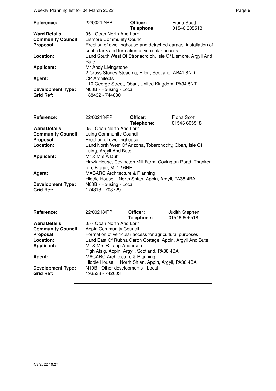| Reference:                                   | 22/00212/PP                                                                                                     | Officer:<br>Telephone: | Fiona Scott<br>01546 605518 |
|----------------------------------------------|-----------------------------------------------------------------------------------------------------------------|------------------------|-----------------------------|
| <b>Ward Details:</b>                         | 05 - Oban North And Lorn                                                                                        |                        |                             |
| <b>Community Council:</b>                    | <b>Lismore Community Council</b>                                                                                |                        |                             |
| Proposal:                                    | Erection of dwellinghouse and detached garage, installation of<br>septic tank and formation of vehicular access |                        |                             |
| Location:                                    | Land South West Of Stronacroibh, Isle Of Lismore, Argyll And<br><b>Bute</b>                                     |                        |                             |
| <b>Applicant:</b>                            | Mr Andy Livingstone<br>2 Cross Stones Steading, Ellon, Scotland, AB41 8ND                                       |                        |                             |
| Agent:                                       | <b>CP</b> Architects<br>110 George Street, Oban, United Kingdom, PA34 5NT                                       |                        |                             |
| <b>Development Type:</b><br><b>Grid Ref:</b> | N03B - Housing - Local<br>188432 - 744830                                                                       |                        |                             |

| Reference:                                   | 22/00213/PP                                                                                           | Officer:<br>Telephone: | Fiona Scott<br>01546 605518 |
|----------------------------------------------|-------------------------------------------------------------------------------------------------------|------------------------|-----------------------------|
| <b>Ward Details:</b>                         | 05 - Oban North And Lorn                                                                              |                        |                             |
| <b>Community Council:</b>                    | Luing Community Council                                                                               |                        |                             |
| Proposal:                                    | Erection of dwellinghouse                                                                             |                        |                             |
| Location:                                    | Land North West Of Arizona, Toberonochy, Oban, Isle Of<br>Luing, Argyll And Bute                      |                        |                             |
| <b>Applicant:</b>                            | Mr & Mrs A Duff<br>Hawk House, Covington Mill Farm, Covington Road, Thanker-<br>ton, Biggar, ML12 6NE |                        |                             |
| Agent:                                       | <b>MACARC Architecture &amp; Planning</b><br>Hiddle House, North Shian, Appin, Argyll, PA38 4BA       |                        |                             |
| <b>Development Type:</b><br><b>Grid Ref:</b> | N03B - Housing - Local<br>174818 - 708729                                                             |                        |                             |

| Reference:                | 22/00218/PP                                              | Officer:<br>Telephone: | Judith Stephen<br>01546 605518 |
|---------------------------|----------------------------------------------------------|------------------------|--------------------------------|
| <b>Ward Details:</b>      | 05 - Oban North And Lorn                                 |                        |                                |
| <b>Community Council:</b> | <b>Appin Community Council</b>                           |                        |                                |
| Proposal:                 | Formation of vehicular access for agricultural purposes  |                        |                                |
| Location:                 | Land East Of Rubha Garbh Cottage, Appin, Argyll And Bute |                        |                                |
| <b>Applicant:</b>         | Mr & Mrs R Lang-Anderson                                 |                        |                                |
|                           | Tigh Aisig, Appin, Argyll, Scotland, PA38 4BA            |                        |                                |
| Agent:                    | <b>MACARC Architecture &amp; Planning</b>                |                        |                                |
|                           | Hiddle House, North Shian, Appin, Argyll, PA38 4BA       |                        |                                |
| <b>Development Type:</b>  | N10B - Other developments - Local                        |                        |                                |
| <b>Grid Ref:</b>          | 193533 - 742603                                          |                        |                                |
|                           |                                                          |                        |                                |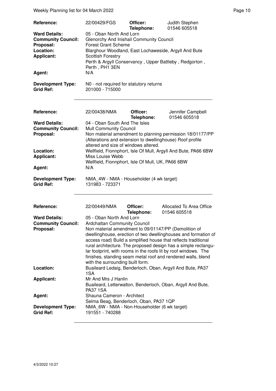| Reference:                                                                                                 | 22/00429/FGS                                                                                                                                                                                                                                                                                             | Officer:               | Judith Stephen                                                            |
|------------------------------------------------------------------------------------------------------------|----------------------------------------------------------------------------------------------------------------------------------------------------------------------------------------------------------------------------------------------------------------------------------------------------------|------------------------|---------------------------------------------------------------------------|
| <b>Ward Details:</b><br><b>Community Council:</b><br>Proposal:<br>Location:<br><b>Applicant:</b><br>Agent: | 01546 605518<br>Telephone:<br>05 - Oban North And Lorn<br>Glenorchy And Inishail Community Council<br><b>Forest Grant Scheme</b><br>Blarghour Woodland, East Lochaweside, Argyll And Bute<br><b>Scottish Forestry</b><br>Perth & Argyll Conservancy, Upper Battleby, Redgorton,<br>Perth, PH1 3EN<br>N/A |                        |                                                                           |
| <b>Development Type:</b><br><b>Grid Ref:</b>                                                               | N0 - not required for statutory returns<br>201000 - 715000                                                                                                                                                                                                                                               |                        |                                                                           |
| Reference:                                                                                                 | 22/00438/NMA                                                                                                                                                                                                                                                                                             | Officer:               | Jennifer Campbell                                                         |
| <b>Ward Details:</b><br><b>Community Council:</b><br>Proposal:                                             | 04 - Oban South And The Isles<br><b>Mull Community Council</b><br>(Alterations and extension to dwellinghouse) Roof profile<br>altered and size of windows altered.                                                                                                                                      | Telephone:             | 01546 605518<br>Non material amendment to planning permission 18/01177/PP |
| Location:<br><b>Applicant:</b>                                                                             | Wellfield, Fionnphort, Isle Of Mull, Argyll And Bute, PA66 6BW<br>Miss Louise Webb                                                                                                                                                                                                                       |                        |                                                                           |
| Agent:                                                                                                     | Wellfield, Fionnphort, Isle Of Mull, UK, PA66 6BW<br>N/A                                                                                                                                                                                                                                                 |                        |                                                                           |
| <b>Development Type:</b><br><b>Grid Ref:</b>                                                               | NMA_4W - NMA - Householder (4 wk target)<br>131983 - 723371                                                                                                                                                                                                                                              |                        |                                                                           |
| Reference:                                                                                                 | 22/00449/NMA                                                                                                                                                                                                                                                                                             | Officer:<br>Telephone: | Allocated To Area Office<br>01546 605518                                  |
| <b>Ward Details:</b>                                                                                       | 05 - Oban North And Lorn                                                                                                                                                                                                                                                                                 |                        |                                                                           |
| <b>Community Council:</b>                                                                                  | <b>Ardchattan Community Council</b>                                                                                                                                                                                                                                                                      |                        |                                                                           |
| Proposal:                                                                                                  | Non material amendment to 09/01147/PP (Demolition of                                                                                                                                                                                                                                                     |                        |                                                                           |
|                                                                                                            |                                                                                                                                                                                                                                                                                                          |                        | dwellinghouse, erection of two dwellinghouses and formation of            |
|                                                                                                            |                                                                                                                                                                                                                                                                                                          |                        | access road) Build a simplified house that reflects traditional           |
|                                                                                                            | rural architecture. The proposed design has a simple rectangu-<br>lar footprint, with rooms in the roofs lit by roof windows. The<br>finishes, standing seam metal roof and rendered walls, blend<br>with the surrounding built form.                                                                    |                        |                                                                           |
| Location:                                                                                                  | 1SA                                                                                                                                                                                                                                                                                                      |                        | Buaileard Ledaig, Benderloch, Oban, Argyll And Bute, PA37                 |
| <b>Applicant:</b>                                                                                          | Mr And Mrs J Hanlin<br>Buaileard, Letterwalton, Benderloch, Oban, Argyll And Bute,<br><b>PA37 1SA</b>                                                                                                                                                                                                    |                        |                                                                           |
| Agent:                                                                                                     | Shauna Cameron - Architect<br>Selma Beag, Benderloch, Oban, PA37 1QP                                                                                                                                                                                                                                     |                        |                                                                           |
| <b>Development Type:</b><br><b>Grid Ref:</b>                                                               | NMA_6W - NMA - Non-Householder (6 wk target)<br>191551 - 740288                                                                                                                                                                                                                                          |                        |                                                                           |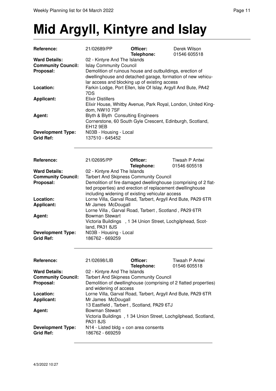### **Mid Argyll, Kintyre and Islay**

| Reference:                | 21/02689/PP                                                                                                                                 | Officer:<br>Telephone: | Derek Wilson<br>01546 605518                                     |
|---------------------------|---------------------------------------------------------------------------------------------------------------------------------------------|------------------------|------------------------------------------------------------------|
| <b>Ward Details:</b>      | 02 - Kintyre And The Islands                                                                                                                |                        |                                                                  |
| <b>Community Council:</b> | <b>Islay Community Council</b>                                                                                                              |                        |                                                                  |
| Proposal:                 | Demolition of ruinous house and outbuildings, erection of                                                                                   |                        |                                                                  |
|                           | dwellinghouse and detached garage, formation of new vehicu-                                                                                 |                        |                                                                  |
|                           | lar access and blocking up of existing access                                                                                               |                        |                                                                  |
| Location:                 |                                                                                                                                             |                        | Farkin Lodge, Port Ellen, Isle Of Islay, Argyll And Bute, PA42   |
|                           | 7DS                                                                                                                                         |                        |                                                                  |
| <b>Applicant:</b>         | <b>Elixir Distillers</b>                                                                                                                    |                        |                                                                  |
|                           |                                                                                                                                             |                        | Elixir House, Whitby Avenue, Park Royal, London, United King-    |
|                           | dom, NW10 7SF                                                                                                                               |                        |                                                                  |
| Agent:                    | Blyth & Blyth Consulting Engineers                                                                                                          |                        |                                                                  |
|                           |                                                                                                                                             |                        | Cornerstone, 60 South Gyle Crescent, Edinburgh, Scotland,        |
|                           | <b>EH12 9EB</b>                                                                                                                             |                        |                                                                  |
| <b>Development Type:</b>  | N03B - Housing - Local                                                                                                                      |                        |                                                                  |
| <b>Grid Ref:</b>          | 137510 - 645452                                                                                                                             |                        |                                                                  |
|                           |                                                                                                                                             |                        |                                                                  |
|                           |                                                                                                                                             |                        |                                                                  |
| Reference:                | 21/02695/PP                                                                                                                                 | Officer:               | Tiwaah P Antwi                                                   |
|                           |                                                                                                                                             | Telephone:             | 01546 605518                                                     |
| <b>Ward Details:</b>      | 02 - Kintyre And The Islands                                                                                                                |                        |                                                                  |
| <b>Community Council:</b> | <b>Tarbert And Skipness Community Council</b>                                                                                               |                        |                                                                  |
| Proposal:                 |                                                                                                                                             |                        | Demolition of fire damaged dwellinghouse (comprising of 2 flat-  |
|                           |                                                                                                                                             |                        | ted properties) and erection of replacement dwellinghouse        |
|                           | including widening of existing vehicular access                                                                                             |                        |                                                                  |
| Location:                 |                                                                                                                                             |                        |                                                                  |
| <b>Applicant:</b>         | Lorne Villa, Garval Road, Tarbert, Argyll And Bute, PA29 6TR<br>Mr James McDougall<br>Lorne Villa, Garval Road, Tarbert, Scotland, PA29 6TR |                        |                                                                  |
|                           |                                                                                                                                             |                        |                                                                  |
| Agent:                    | <b>Bowman Stewart</b>                                                                                                                       |                        |                                                                  |
|                           |                                                                                                                                             |                        | Victoria Buildings , 1 34 Union Street, Lochgilphead, Scot-      |
|                           | land, PA31 8JS                                                                                                                              |                        |                                                                  |
| <b>Development Type:</b>  | N03B - Housing - Local                                                                                                                      |                        |                                                                  |
| <b>Grid Ref:</b>          | 186762 - 669259                                                                                                                             |                        |                                                                  |
|                           |                                                                                                                                             |                        |                                                                  |
|                           |                                                                                                                                             |                        |                                                                  |
|                           |                                                                                                                                             |                        |                                                                  |
| Reference:                | 21/02698/LIB                                                                                                                                | Officer:               | Tiwaah P Antwi                                                   |
|                           |                                                                                                                                             | Telephone:             | 01546 605518                                                     |
| <b>Ward Details:</b>      | 02 - Kintyre And The Islands                                                                                                                |                        |                                                                  |
| <b>Community Council:</b> | <b>Tarbert And Skipness Community Council</b>                                                                                               |                        |                                                                  |
| Proposal:                 |                                                                                                                                             |                        | Demolition of dwellinghouse (comprising of 2 flatted properties) |
|                           | and widening of access                                                                                                                      |                        |                                                                  |
| Location:                 |                                                                                                                                             |                        | Lorne Villa, Garval Road, Tarbert, Argyll And Bute, PA29 6TR     |
| <b>Applicant:</b>         | Mr James McDougall                                                                                                                          |                        |                                                                  |
|                           | 13 Eastfield, Tarbert, Scotland, PA29 6TJ                                                                                                   |                        |                                                                  |
| Agent:                    | <b>Bowman Stewart</b>                                                                                                                       |                        |                                                                  |
|                           | Victoria Buildings, 1 34 Union Street, Lochgilphead, Scotland,                                                                              |                        |                                                                  |
|                           | <b>PA31 8JS</b>                                                                                                                             |                        |                                                                  |
| <b>Development Type:</b>  | N14 - Listed bldg + con area consents                                                                                                       |                        |                                                                  |
| <b>Grid Ref:</b>          | 186762 - 669259                                                                                                                             |                        |                                                                  |
|                           |                                                                                                                                             |                        |                                                                  |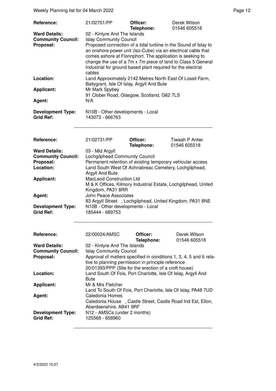Weekly Planning list for 04 March 2022 **Page 12** Page 12

| <b>Reference:</b>                                                           | 21/02701/PP                                                                                                                                                                                                                                                                                                                                                                                               | Officer:<br>Telephone: | Derek Wilson<br>01546 605518 |  |
|-----------------------------------------------------------------------------|-----------------------------------------------------------------------------------------------------------------------------------------------------------------------------------------------------------------------------------------------------------------------------------------------------------------------------------------------------------------------------------------------------------|------------------------|------------------------------|--|
| <b>Ward Details:</b><br><b>Community Council:</b><br>Proposal:              | 02 - Kintyre And The Islands<br><b>Islay Community Council</b><br>Proposed connection of a tidal turbine in the Sound of Islay to<br>an onshore power unit (Iso-Cube) via an electrical cable that<br>comes ashore at Fionnphort. The application is seeking to<br>change the use of a 7m x 7m piece of land to Class 5 General<br>Industrial for ground based plant required for the electrial<br>cables |                        |                              |  |
| Location:                                                                   | Land Approximately 2142 Metres North East Of Lossit Farm,<br>Ballygrant, Isle Of Islay, Argyll And Bute                                                                                                                                                                                                                                                                                                   |                        |                              |  |
| <b>Applicant:</b>                                                           | Mr Mark Spybey<br>91 Clober Road, Glasgow, Scotland, G62 7LS                                                                                                                                                                                                                                                                                                                                              |                        |                              |  |
| Agent:                                                                      | N/A                                                                                                                                                                                                                                                                                                                                                                                                       |                        |                              |  |
| <b>Development Type:</b><br><b>Grid Ref:</b>                                | N10B - Other developments - Local<br>143073 - 666763                                                                                                                                                                                                                                                                                                                                                      |                        |                              |  |
| Reference:                                                                  | 21/02731/PP                                                                                                                                                                                                                                                                                                                                                                                               | Officer:               | Tiwaah P Antwi               |  |
| <b>Ward Details:</b><br><b>Community Council:</b><br>Proposal:<br>Location: | Telephone:<br>01546 605518<br>03 - Mid Argyll<br>Lochgilphead Community Council<br>Permanent retention of existing temporary vehicular access<br>Land South West Of Achnabreac Cemetery, Lochgilphead,                                                                                                                                                                                                    |                        |                              |  |
| <b>Applicant:</b>                                                           | Argyll And Bute<br><b>MacLeod Construction Ltd</b><br>M & K Offices, Kilmory Industrial Estate, Lochgilphead, United<br>Kingdom, PA31 8RR                                                                                                                                                                                                                                                                 |                        |                              |  |
| Agent:                                                                      | John Peace Associates<br>83 Argyll Street, Lochgilphead, United Kingdom, PA31 8NE                                                                                                                                                                                                                                                                                                                         |                        |                              |  |
| <b>Development Type:</b><br><b>Grid Ref:</b>                                | N10B - Other developments - Local<br>185444 - 689753                                                                                                                                                                                                                                                                                                                                                      |                        |                              |  |
| <b>Reference:</b>                                                           | 22/00024/AMSC                                                                                                                                                                                                                                                                                                                                                                                             | Officer:<br>Telephone: | Derek Wilson<br>01546 605518 |  |
| <b>Ward Details:</b><br><b>Community Council:</b><br>Proposal:              | 02 - Kintyre And The Islands<br><b>Islay Community Council</b><br>Approval of matters specified in conditions 1, 3, 4, 5 and 6 rela-<br>tive to planning permission in principle reference<br>20/01393/PPP (Site for the erection of a croft house)                                                                                                                                                       |                        |                              |  |
| Location:                                                                   | Land South Of Fois, Port Charlotte, Isle Of Islay, Argyll And<br><b>Bute</b>                                                                                                                                                                                                                                                                                                                              |                        |                              |  |
| <b>Applicant:</b>                                                           | Mr & Mrs Fletcher<br>Land To South Of Fois, Port Charlotte, Isle Of Islay, PA48 7UD                                                                                                                                                                                                                                                                                                                       |                        |                              |  |
| Agent:                                                                      | Caledonia Homes<br>Caledonia House , Castle Street, Castle Road Ind Est, Ellon,<br>Aberdeenshire, AB41 9RF                                                                                                                                                                                                                                                                                                |                        |                              |  |
| <b>Development Type:</b><br><b>Grid Ref:</b>                                | N12 - AMSCs (under 2 months)<br>125568 - 658960                                                                                                                                                                                                                                                                                                                                                           |                        |                              |  |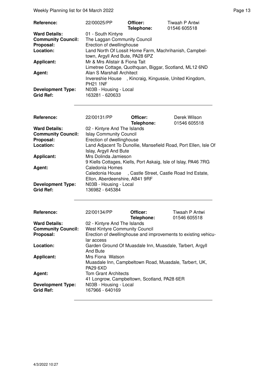Weekly Planning list for 04 March 2022 **Page 13** Page 13

| <b>Reference:</b>         | 22/00025/PP                                            | Officer:<br>Telephone: | Tiwaah P Antwi<br>01546 605518                          |
|---------------------------|--------------------------------------------------------|------------------------|---------------------------------------------------------|
| <b>Ward Details:</b>      | 01 - South Kintyre                                     |                        |                                                         |
| <b>Community Council:</b> | The Laggan Community Council                           |                        |                                                         |
| Proposal:                 | Erection of dwellinghouse                              |                        |                                                         |
| Location:                 |                                                        |                        | Land North Of Lossit Home Farm, Machrihanish, Campbel-  |
|                           | town, Argyll And Bute, PA28 6PZ                        |                        |                                                         |
| <b>Applicant:</b>         | Mr & Mrs Alistair & Fiona Tait                         |                        |                                                         |
|                           |                                                        |                        | Limetree Cottage, Quothquan, Biggar, Scotland, ML12 6ND |
| Agent:                    | Alan S Marshall Architect                              |                        |                                                         |
|                           | Invereshie House, Kincraig, Kingussie, United Kingdom, |                        |                                                         |
|                           | <b>PH21 1NF</b>                                        |                        |                                                         |
| <b>Development Type:</b>  | N03B - Housing - Local                                 |                        |                                                         |
| <b>Grid Ref:</b>          | 163281 - 620633                                        |                        |                                                         |

| <b>Reference:</b>                            | 22/00131/PP                                                     | Officer:<br>Telephone: | Derek Wilson<br>01546 605518 |
|----------------------------------------------|-----------------------------------------------------------------|------------------------|------------------------------|
| <b>Ward Details:</b>                         | 02 - Kintyre And The Islands                                    |                        |                              |
| <b>Community Council:</b>                    | <b>Islay Community Council</b>                                  |                        |                              |
| Proposal:                                    | Erection of dwellinghouse                                       |                        |                              |
| Location:                                    | Land Adjacent To Dunollie, Mansefield Road, Port Ellen, Isle Of |                        |                              |
|                                              | Islay, Argyll And Bute                                          |                        |                              |
| <b>Applicant:</b>                            | Mrs Dolinda Jamieson                                            |                        |                              |
|                                              | 9 Kiells Cottages, Kiells, Port Askaig, Isle of Islay, PA46 7RG |                        |                              |
| Agent:                                       | Caledonia Homes                                                 |                        |                              |
|                                              | , Castle Street, Castle Road Ind Estate,<br>Caledonia House     |                        |                              |
|                                              | Ellon, Aberdeenshire, AB41 9RF                                  |                        |                              |
| <b>Development Type:</b><br><b>Grid Ref:</b> | N03B - Housing - Local<br>136982 - 645384                       |                        |                              |
|                                              |                                                                 |                        |                              |

| Reference:                                   | 22/00134/PP                                                               | Officer:<br>Telephone: | Tiwaah P Antwi<br>01546 605518                                 |
|----------------------------------------------|---------------------------------------------------------------------------|------------------------|----------------------------------------------------------------|
| <b>Ward Details:</b>                         | 02 - Kintyre And The Islands                                              |                        |                                                                |
| <b>Community Council:</b>                    | <b>West Kintyre Community Council</b>                                     |                        |                                                                |
| Proposal:                                    |                                                                           |                        | Erection of dwellinghouse and improvements to existing vehicu- |
|                                              | lar access                                                                |                        |                                                                |
| Location:                                    | Garden Ground Of Muasdale Inn, Muasdale, Tarbert, Argyll<br>And Bute      |                        |                                                                |
| <b>Applicant:</b>                            | Mrs Fiona Watson                                                          |                        |                                                                |
|                                              | Muasdale Inn, Campbeltown Road, Muasdale, Tarbert, UK,<br><b>PA29 6XD</b> |                        |                                                                |
| Agent:                                       | <b>Tom Grant Architects</b>                                               |                        |                                                                |
|                                              | 41 Longrow, Campbeltown, Scotland, PA28 6ER                               |                        |                                                                |
| <b>Development Type:</b><br><b>Grid Ref:</b> | N03B - Housing - Local<br>167966 - 640169                                 |                        |                                                                |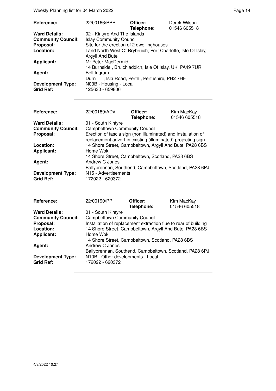Weekly Planning list for 04 March 2022 **Page 14** Page 14

| Reference:                | 22/00166/PPP                                                 | Officer:<br>Telephone:                  | Derek Wilson<br>01546 605518 |
|---------------------------|--------------------------------------------------------------|-----------------------------------------|------------------------------|
| <b>Ward Details:</b>      | 02 - Kintyre And The Islands                                 |                                         |                              |
| <b>Community Council:</b> | <b>Islay Community Council</b>                               |                                         |                              |
| Proposal:                 | Site for the erection of 2 dwellinghouses                    |                                         |                              |
| Location:                 | Land North West Of Brybruich, Port Charlotte, Isle Of Islay, |                                         |                              |
|                           | Argyll And Bute                                              |                                         |                              |
| <b>Applicant:</b>         | Mr Peter MacDermid                                           |                                         |                              |
|                           | 14 Burnside, Bruichladdich, Isle Of Islay, UK, PA49 7UR      |                                         |                              |
| Agent:                    | Bell Ingram                                                  |                                         |                              |
|                           | Durn                                                         | , Isla Road, Perth, Perthshire, PH2 7HF |                              |
| <b>Development Type:</b>  | N03B - Housing - Local                                       |                                         |                              |
| <b>Grid Ref:</b>          | 125630 - 659806                                              |                                         |                              |

| <b>Reference:</b>         | 22/00189/ADV                                                                                                                  | Officer:<br>Telephone: | Kim MacKay<br>01546 605518 |
|---------------------------|-------------------------------------------------------------------------------------------------------------------------------|------------------------|----------------------------|
| <b>Ward Details:</b>      | 01 - South Kintyre                                                                                                            |                        |                            |
| <b>Community Council:</b> | <b>Campbeltown Community Council</b>                                                                                          |                        |                            |
| Proposal:                 | Erection of fascia sign (non illuminated) and installation of<br>replacement advert in existing (illuminated) projecting sign |                        |                            |
| Location:                 | 14 Shore Street, Campbeltown, Argyll And Bute, PA28 6BS                                                                       |                        |                            |
| <b>Applicant:</b>         | Home Wok                                                                                                                      |                        |                            |
|                           | 14 Shore Street, Campbeltown, Scotland, PA28 6BS                                                                              |                        |                            |
| Agent:                    | Andrew C Jones                                                                                                                |                        |                            |
|                           | Ballybrennan, Southend, Campbeltown, Scotland, PA28 6PJ                                                                       |                        |                            |
| <b>Development Type:</b>  | N <sub>15</sub> - Advertisements                                                                                              |                        |                            |
| <b>Grid Ref:</b>          | 172022 - 620372                                                                                                               |                        |                            |
|                           |                                                                                                                               |                        |                            |

| Reference:                                   | 22/00190/PP                                                     | Officer:<br>Telephone: | Kim MacKay<br>01546 605518 |
|----------------------------------------------|-----------------------------------------------------------------|------------------------|----------------------------|
| <b>Ward Details:</b>                         | 01 - South Kintyre                                              |                        |                            |
| <b>Community Council:</b>                    | <b>Campbeltown Community Council</b>                            |                        |                            |
| Proposal:                                    | Installation of replacement extraction flue to rear of building |                        |                            |
| Location:                                    | 14 Shore Street, Campbeltown, Argyll And Bute, PA28 6BS         |                        |                            |
| <b>Applicant:</b>                            | Home Wok                                                        |                        |                            |
|                                              | 14 Shore Street, Campbeltown, Scotland, PA28 6BS                |                        |                            |
| Agent:                                       | Andrew C Jones                                                  |                        |                            |
|                                              | Ballybrennan, Southend, Campbeltown, Scotland, PA28 6PJ         |                        |                            |
| <b>Development Type:</b><br><b>Grid Ref:</b> | N10B - Other developments - Local<br>172022 - 620372            |                        |                            |